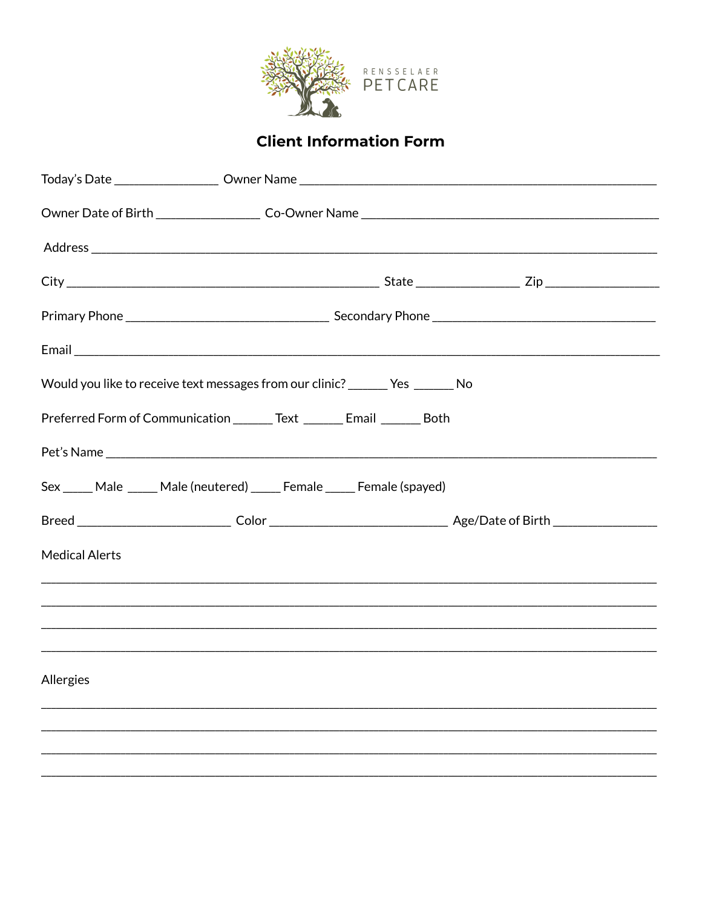

## **Client Information Form**

|                                                                         | Would you like to receive text messages from our clinic? _______ Yes _______ No |  |  |  |
|-------------------------------------------------------------------------|---------------------------------------------------------------------------------|--|--|--|
| Preferred Form of Communication ________ Text _______ Email ______ Both |                                                                                 |  |  |  |
|                                                                         |                                                                                 |  |  |  |
|                                                                         | Sex _____ Male _____ Male (neutered) _____ Female _____ Female (spayed)         |  |  |  |
|                                                                         |                                                                                 |  |  |  |
| <b>Medical Alerts</b>                                                   |                                                                                 |  |  |  |
|                                                                         |                                                                                 |  |  |  |
|                                                                         |                                                                                 |  |  |  |
|                                                                         |                                                                                 |  |  |  |
| Allergies                                                               |                                                                                 |  |  |  |
|                                                                         |                                                                                 |  |  |  |
|                                                                         |                                                                                 |  |  |  |
|                                                                         |                                                                                 |  |  |  |